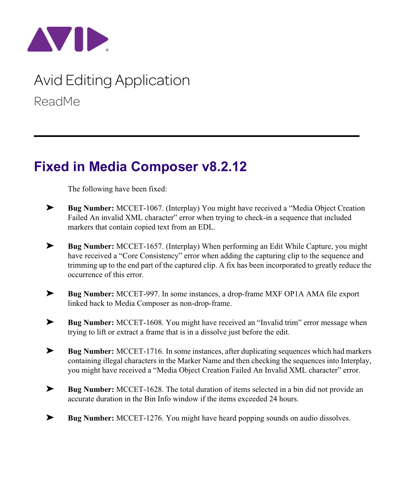

## Avid Editing Application ReadMe

## **Fixed in Media Composer v8.2.12**

The following have been fixed:

- ➤ **Bug Number:** MCCET-1067. (Interplay) You might have received a "Media Object Creation Failed An invalid XML character" error when trying to check-in a sequence that included markers that contain copied text from an EDL.
- ➤ **Bug Number:** MCCET-1657. (Interplay) When performing an Edit While Capture, you might have received a "Core Consistency" error when adding the capturing clip to the sequence and trimming up to the end part of the captured clip. A fix has been incorporated to greatly reduce the occurrence of this error.
- ➤ **Bug Number:** MCCET-997. In some instances, a drop-frame MXF OP1A AMA file export linked back to Media Composer as non-drop-frame.
- ➤ **Bug Number:** MCCET-1608. You might have received an "Invalid trim" error message when trying to lift or extract a frame that is in a dissolve just before the edit.
- ➤ **Bug Number:** MCCET-1716. In some instances, after duplicating sequences which had markers containing illegal characters in the Marker Name and then checking the sequences into Interplay, you might have received a "Media Object Creation Failed An Invalid XML character" error.
- ➤ **Bug Number:** MCCET-1628. The total duration of items selected in a bin did not provide an accurate duration in the Bin Info window if the items exceeded 24 hours.
- ➤ **Bug Number:** MCCET-1276. You might have heard popping sounds on audio dissolves.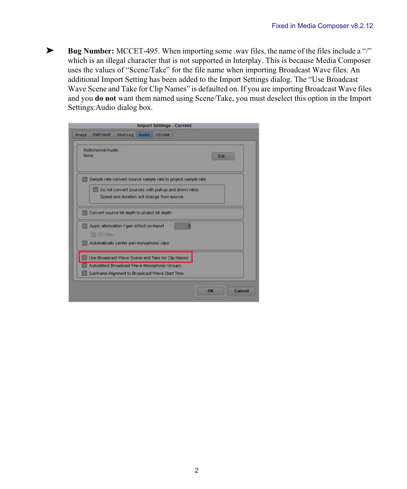➤ **Bug Number:** MCCET-495. When importing some .wav files, the name of the files include a "/" which is an illegal character that is not supported in Interplay. This is because Media Composer uses the values of "Scene/Take" for the file name when importing Broadcast Wave files. An additional Import Setting has been added to the Import Settings dialog. The "Use Broadcast Wave Scene and Take for Clip Names" is defaulted on. If you are importing Broadcast Wave files and you **do not** want them named using Scene/Take, you must deselect this option in the Import Settings:Audio dialog box.

| <b>Import Settings - Current</b>                                                                                    |  |
|---------------------------------------------------------------------------------------------------------------------|--|
|                                                                                                                     |  |
| Edit                                                                                                                |  |
| Sample rate convert source sample rate to project sample rate<br>Do not convert sources with pull-up and down rates |  |
|                                                                                                                     |  |
|                                                                                                                     |  |
|                                                                                                                     |  |
|                                                                                                                     |  |